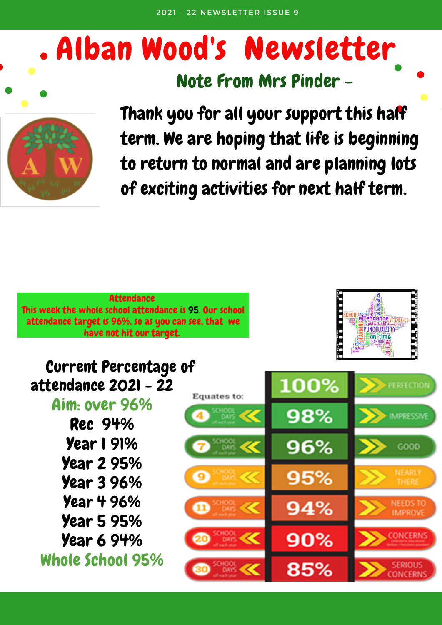# Alban Wood's Newsletter





Thank you for all your support this half term. We are hoping that life is beginning to return to normal and are planning lots of exciting activities for next half term.

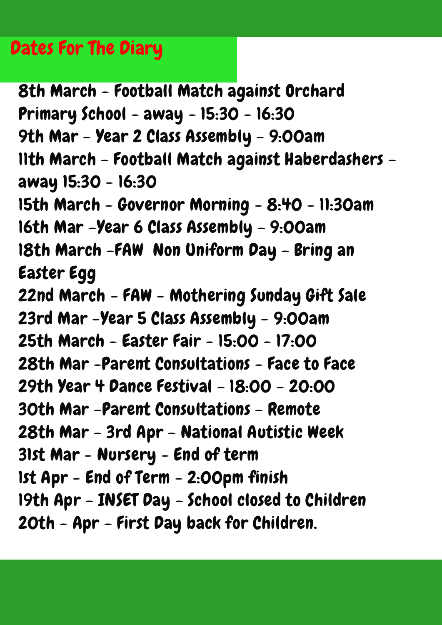#### Dates For The Diary

8th March - Football Match against Orchard Primary School - away - 15:30 - 16:30 9th Mar - Year 2 Class Assembly - 9:00am 11th March - Football Match against Haberdashers away 15:30 - 16:30 15th March - Governor Morning - 8:40 - 11:30am 16th Mar -Year 6 Class Assembly - 9:00am 18th March -FAW Non Uniform Day - Bring an Easter Egg 22nd March - FAW - Mothering Sunday Gift Sale 23rd Mar -Year 5 Class Assembly - 9:00am 25th March - Easter Fair - 15:00 - 17:00 28th Mar -Parent Consultations - Face to Face 29th Year 4 Dance Festival - 18:00 - 20:00 30th Mar -Parent Consultations - Remote 28th Mar - 3rd Apr - National Autistic Week 31st Mar - Nursery - End of term 1st Apr - End of Term - 2:00pm finish 19th Apr - INSET Day - School closed to Children 20th - Apr - First Day back for Children.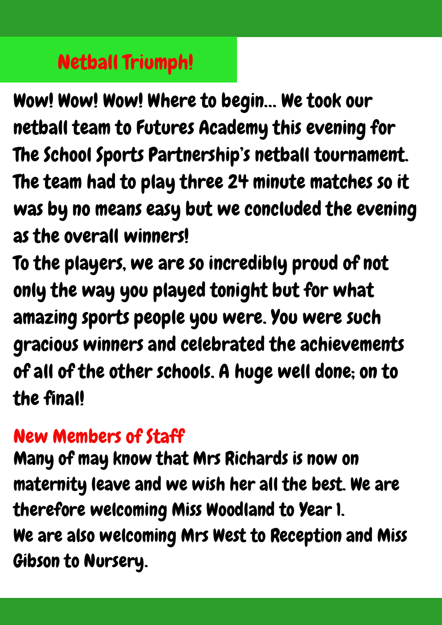## Netball Triumph!

Wow! Wow! Wow! Where to begin… We took our netball team to Futures Academy this evening for The School Sports Partnership's netball tournament. The team had to play three 24 minute matches so it was by no means easy but we concluded the evening as the overall winners!

To the players, we are so incredibly proud of not only the way you played tonight but for what amazing sports people you were. You were such gracious winners and celebrated the achievements of all of the other schools. A huge well done; on to the final!

### New Members of Staff

Many of may know that Mrs Richards is now on maternity leave and we wish her all the best. We are therefore welcoming Miss Woodland to Year 1. We are also welcoming Mrs West to Reception and Miss Gibson to Nursery.